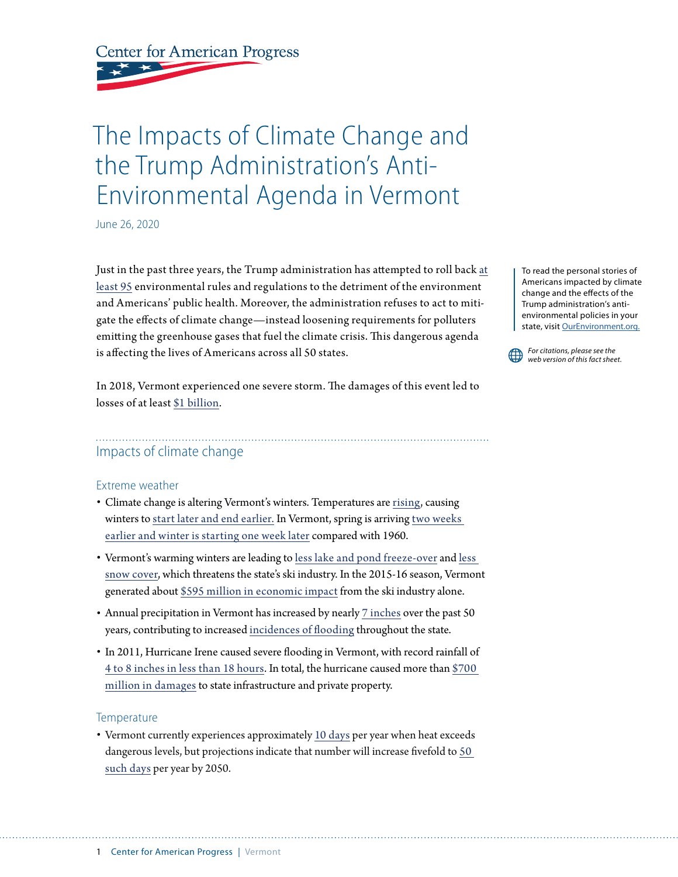**Center for American Progress** 

# The Impacts of Climate Change and the Trump Administration's Anti-Environmental Agenda in Vermont

June 26, 2020

Just in the past three years, the Trump administration has attempted to roll back [at](https://www.nytimes.com/interactive/2019/climate/trump-environment-rollbacks.html)  [least 95](https://www.nytimes.com/interactive/2019/climate/trump-environment-rollbacks.html) environmental rules and regulations to the detriment of the environment and Americans' public health. Moreover, the administration refuses to act to mitigate the effects of climate change—instead loosening requirements for polluters emitting the greenhouse gases that fuel the climate crisis. This dangerous agenda is affecting the lives of Americans across all 50 states.

In 2018, Vermont experienced one severe storm. The damages of this event led to losses of at least [\\$1 billion.](https://www.ncdc.noaa.gov/billions/events/VT/2017-2019)

# Impacts of climate change

## Extreme weather

- Climate change is altering Vermont's winters. Temperatures are [rising,](https://climatechange.vermont.gov/our-changing-climate/what-it-means/tourism) causing winters to [start later and end earlier.](https://climatechange.vermont.gov/our-changing-climate/what-it-means/tourism) In Vermont, spring is arriving [two weeks](https://www.healthvermont.gov/health-environment/climate-health/climate-change)  [earlier and winter is starting one week later](https://www.healthvermont.gov/health-environment/climate-health/climate-change) compared with 1960.
- Vermont's warming winters are leading to [less lake and pond freeze-over](https://climatechange.vermont.gov/our-changing-climate/dashboard/increasing-max-min-temperature) and [less](https://climatechange.vermont.gov/our-changing-climate/dashboard/less-snow-cover)  [snow cover,](https://climatechange.vermont.gov/our-changing-climate/dashboard/less-snow-cover) which threatens the state's ski industry. In the 2015-16 season, Vermont generated about [\\$595 million in economic impact](https://vtdigger.org/2018/04/01/climate-change-viewed-as-serious-threat-to-ski-industry/) from the ski industry alone.
- Annual precipitation in Vermont has increased by nearly [7 inches](https://www.healthvermont.gov/health-environment/climate-health/climate-change) over the past 50 years, contributing to increased incidences of flooding throughout the state.
- In 2011, Hurricane Irene caused severe flooding in Vermont, with record rainfall of [4 to 8 inches in less than 18 hours.](https://www.weather.gov/safety/flood-states-vt) In total, the hurricane caused more than [\\$700](https://www.weather.gov/safety/flood-states-vt)  [million in damages](https://www.weather.gov/safety/flood-states-vt) to state infrastructure and private property.

#### **Temperature**

• Vermont currently experiences approximately [10 days](https://statesatrisk.org/vermont/all) per year when heat exceeds dangerous levels, but projections indicate that number will increase fivefold to [50](https://statesatrisk.org/vermont/all)  [such days](https://statesatrisk.org/vermont/all) per year by 2050.

To read the personal stories of Americans impacted by climate change and the effects of the Trump administration's antienvironmental policies in your state, visit OurEnvironment.org.

*For citations, please see the web version of this fact sheet.*